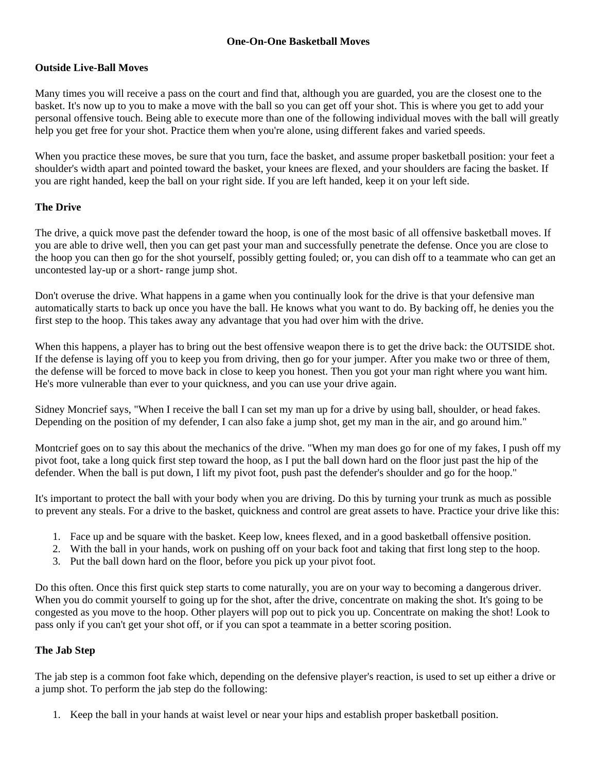#### **One-On-One Basketball Moves**

#### **Outside Live-Ball Moves**

Many times you will receive a pass on the court and find that, although you are guarded, you are the closest one to the basket. It's now up to you to make a move with the ball so you can get off your shot. This is where you get to add your personal offensive touch. Being able to execute more than one of the following individual moves with the ball will greatly help you get free for your shot. Practice them when you're alone, using different fakes and varied speeds.

When you practice these moves, be sure that you turn, face the basket, and assume proper basketball position: your feet a shoulder's width apart and pointed toward the basket, your knees are flexed, and your shoulders are facing the basket. If you are right handed, keep the ball on your right side. If you are left handed, keep it on your left side.

# **The Drive**

The drive, a quick move past the defender toward the hoop, is one of the most basic of all offensive basketball moves. If you are able to drive well, then you can get past your man and successfully penetrate the defense. Once you are close to the hoop you can then go for the shot yourself, possibly getting fouled; or, you can dish off to a teammate who can get an uncontested lay-up or a short- range jump shot.

Don't overuse the drive. What happens in a game when you continually look for the drive is that your defensive man automatically starts to back up once you have the ball. He knows what you want to do. By backing off, he denies you the first step to the hoop. This takes away any advantage that you had over him with the drive.

When this happens, a player has to bring out the best offensive weapon there is to get the drive back: the OUTSIDE shot. If the defense is laying off you to keep you from driving, then go for your jumper. After you make two or three of them, the defense will be forced to move back in close to keep you honest. Then you got your man right where you want him. He's more vulnerable than ever to your quickness, and you can use your drive again.

Sidney Moncrief says, "When I receive the ball I can set my man up for a drive by using ball, shoulder, or head fakes. Depending on the position of my defender, I can also fake a jump shot, get my man in the air, and go around him."

Montcrief goes on to say this about the mechanics of the drive. "When my man does go for one of my fakes, I push off my pivot foot, take a long quick first step toward the hoop, as I put the ball down hard on the floor just past the hip of the defender. When the ball is put down, I lift my pivot foot, push past the defender's shoulder and go for the hoop."

It's important to protect the ball with your body when you are driving. Do this by turning your trunk as much as possible to prevent any steals. For a drive to the basket, quickness and control are great assets to have. Practice your drive like this:

- 1. Face up and be square with the basket. Keep low, knees flexed, and in a good basketball offensive position.
- 2. With the ball in your hands, work on pushing off on your back foot and taking that first long step to the hoop.
- 3. Put the ball down hard on the floor, before you pick up your pivot foot.

Do this often. Once this first quick step starts to come naturally, you are on your way to becoming a dangerous driver. When you do commit yourself to going up for the shot, after the drive, concentrate on making the shot. It's going to be congested as you move to the hoop. Other players will pop out to pick you up. Concentrate on making the shot! Look to pass only if you can't get your shot off, or if you can spot a teammate in a better scoring position.

#### **The Jab Step**

The jab step is a common foot fake which, depending on the defensive player's reaction, is used to set up either a drive or a jump shot. To perform the jab step do the following:

1. Keep the ball in your hands at waist level or near your hips and establish proper basketball position.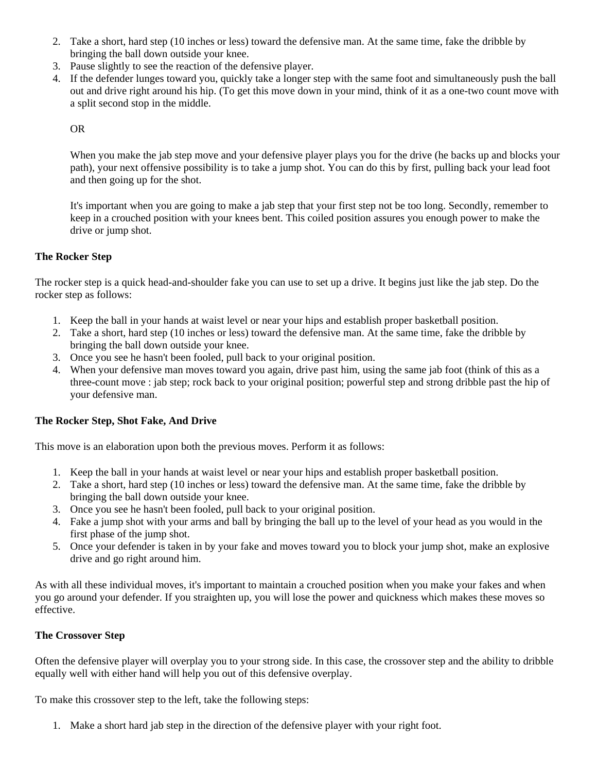- 2. Take a short, hard step (10 inches or less) toward the defensive man. At the same time, fake the dribble by bringing the ball down outside your knee.
- 3. Pause slightly to see the reaction of the defensive player.
- 4. If the defender lunges toward you, quickly take a longer step with the same foot and simultaneously push the ball out and drive right around his hip. (To get this move down in your mind, think of it as a one-two count move with a split second stop in the middle.

OR

When you make the jab step move and your defensive player plays you for the drive (he backs up and blocks your path), your next offensive possibility is to take a jump shot. You can do this by first, pulling back your lead foot and then going up for the shot.

It's important when you are going to make a jab step that your first step not be too long. Secondly, remember to keep in a crouched position with your knees bent. This coiled position assures you enough power to make the drive or jump shot.

# **The Rocker Step**

The rocker step is a quick head-and-shoulder fake you can use to set up a drive. It begins just like the jab step. Do the rocker step as follows:

- 1. Keep the ball in your hands at waist level or near your hips and establish proper basketball position.
- 2. Take a short, hard step (10 inches or less) toward the defensive man. At the same time, fake the dribble by bringing the ball down outside your knee.
- 3. Once you see he hasn't been fooled, pull back to your original position.
- 4. When your defensive man moves toward you again, drive past him, using the same jab foot (think of this as a three-count move : jab step; rock back to your original position; powerful step and strong dribble past the hip of your defensive man.

# **The Rocker Step, Shot Fake, And Drive**

This move is an elaboration upon both the previous moves. Perform it as follows:

- 1. Keep the ball in your hands at waist level or near your hips and establish proper basketball position.
- 2. Take a short, hard step (10 inches or less) toward the defensive man. At the same time, fake the dribble by bringing the ball down outside your knee.
- 3. Once you see he hasn't been fooled, pull back to your original position.
- 4. Fake a jump shot with your arms and ball by bringing the ball up to the level of your head as you would in the first phase of the jump shot.
- 5. Once your defender is taken in by your fake and moves toward you to block your jump shot, make an explosive drive and go right around him.

As with all these individual moves, it's important to maintain a crouched position when you make your fakes and when you go around your defender. If you straighten up, you will lose the power and quickness which makes these moves so effective.

# **The Crossover Step**

Often the defensive player will overplay you to your strong side. In this case, the crossover step and the ability to dribble equally well with either hand will help you out of this defensive overplay.

To make this crossover step to the left, take the following steps:

1. Make a short hard jab step in the direction of the defensive player with your right foot.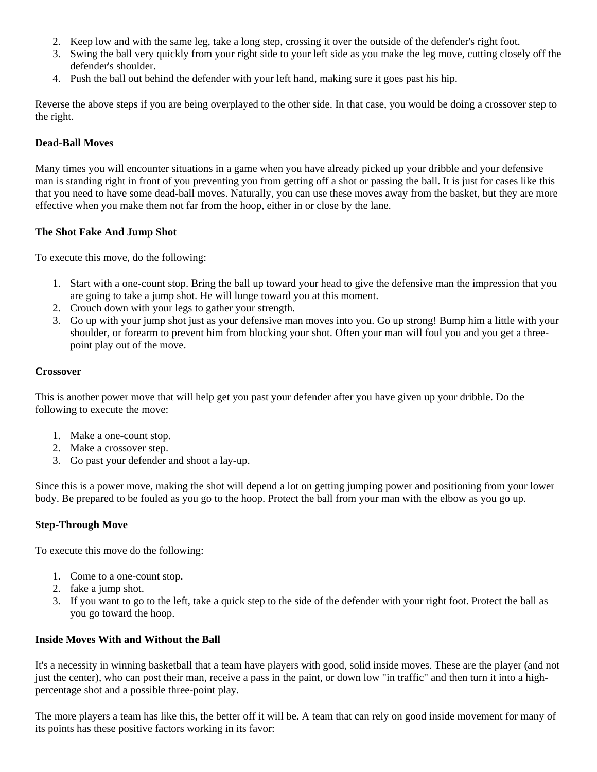- 2. Keep low and with the same leg, take a long step, crossing it over the outside of the defender's right foot.
- 3. Swing the ball very quickly from your right side to your left side as you make the leg move, cutting closely off the defender's shoulder.
- 4. Push the ball out behind the defender with your left hand, making sure it goes past his hip.

Reverse the above steps if you are being overplayed to the other side. In that case, you would be doing a crossover step to the right.

# **Dead-Ball Moves**

Many times you will encounter situations in a game when you have already picked up your dribble and your defensive man is standing right in front of you preventing you from getting off a shot or passing the ball. It is just for cases like this that you need to have some dead-ball moves. Naturally, you can use these moves away from the basket, but they are more effective when you make them not far from the hoop, either in or close by the lane.

# **The Shot Fake And Jump Shot**

To execute this move, do the following:

- 1. Start with a one-count stop. Bring the ball up toward your head to give the defensive man the impression that you are going to take a jump shot. He will lunge toward you at this moment.
- 2. Crouch down with your legs to gather your strength.
- 3. Go up with your jump shot just as your defensive man moves into you. Go up strong! Bump him a little with your shoulder, or forearm to prevent him from blocking your shot. Often your man will foul you and you get a threepoint play out of the move.

#### **Crossover**

This is another power move that will help get you past your defender after you have given up your dribble. Do the following to execute the move:

- 1. Make a one-count stop.
- 2. Make a crossover step.
- 3. Go past your defender and shoot a lay-up.

Since this is a power move, making the shot will depend a lot on getting jumping power and positioning from your lower body. Be prepared to be fouled as you go to the hoop. Protect the ball from your man with the elbow as you go up.

# **Step-Through Move**

To execute this move do the following:

- 1. Come to a one-count stop.
- 2. fake a jump shot.
- 3. If you want to go to the left, take a quick step to the side of the defender with your right foot. Protect the ball as you go toward the hoop.

# **Inside Moves With and Without the Ball**

It's a necessity in winning basketball that a team have players with good, solid inside moves. These are the player (and not just the center), who can post their man, receive a pass in the paint, or down low "in traffic" and then turn it into a highpercentage shot and a possible three-point play.

The more players a team has like this, the better off it will be. A team that can rely on good inside movement for many of its points has these positive factors working in its favor: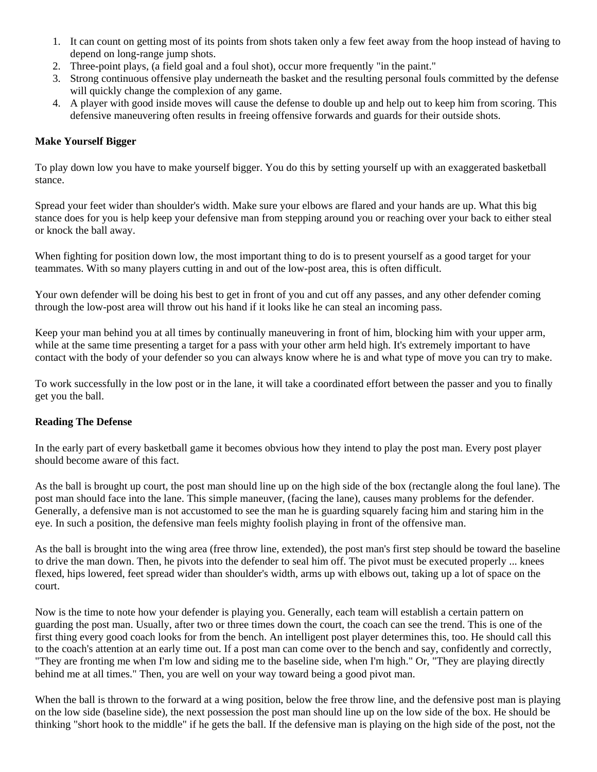- 1. It can count on getting most of its points from shots taken only a few feet away from the hoop instead of having to depend on long-range jump shots.
- 2. Three-point plays, (a field goal and a foul shot), occur more frequently "in the paint."
- 3. Strong continuous offensive play underneath the basket and the resulting personal fouls committed by the defense will quickly change the complexion of any game.
- 4. A player with good inside moves will cause the defense to double up and help out to keep him from scoring. This defensive maneuvering often results in freeing offensive forwards and guards for their outside shots.

#### **Make Yourself Bigger**

To play down low you have to make yourself bigger. You do this by setting yourself up with an exaggerated basketball stance.

Spread your feet wider than shoulder's width. Make sure your elbows are flared and your hands are up. What this big stance does for you is help keep your defensive man from stepping around you or reaching over your back to either steal or knock the ball away.

When fighting for position down low, the most important thing to do is to present yourself as a good target for your teammates. With so many players cutting in and out of the low-post area, this is often difficult.

Your own defender will be doing his best to get in front of you and cut off any passes, and any other defender coming through the low-post area will throw out his hand if it looks like he can steal an incoming pass.

Keep your man behind you at all times by continually maneuvering in front of him, blocking him with your upper arm, while at the same time presenting a target for a pass with your other arm held high. It's extremely important to have contact with the body of your defender so you can always know where he is and what type of move you can try to make.

To work successfully in the low post or in the lane, it will take a coordinated effort between the passer and you to finally get you the ball.

#### **Reading The Defense**

In the early part of every basketball game it becomes obvious how they intend to play the post man. Every post player should become aware of this fact.

As the ball is brought up court, the post man should line up on the high side of the box (rectangle along the foul lane). The post man should face into the lane. This simple maneuver, (facing the lane), causes many problems for the defender. Generally, a defensive man is not accustomed to see the man he is guarding squarely facing him and staring him in the eye. In such a position, the defensive man feels mighty foolish playing in front of the offensive man.

As the ball is brought into the wing area (free throw line, extended), the post man's first step should be toward the baseline to drive the man down. Then, he pivots into the defender to seal him off. The pivot must be executed properly ... knees flexed, hips lowered, feet spread wider than shoulder's width, arms up with elbows out, taking up a lot of space on the court.

Now is the time to note how your defender is playing you. Generally, each team will establish a certain pattern on guarding the post man. Usually, after two or three times down the court, the coach can see the trend. This is one of the first thing every good coach looks for from the bench. An intelligent post player determines this, too. He should call this to the coach's attention at an early time out. If a post man can come over to the bench and say, confidently and correctly, "They are fronting me when I'm low and siding me to the baseline side, when I'm high." Or, "They are playing directly behind me at all times." Then, you are well on your way toward being a good pivot man.

When the ball is thrown to the forward at a wing position, below the free throw line, and the defensive post man is playing on the low side (baseline side), the next possession the post man should line up on the low side of the box. He should be thinking "short hook to the middle" if he gets the ball. If the defensive man is playing on the high side of the post, not the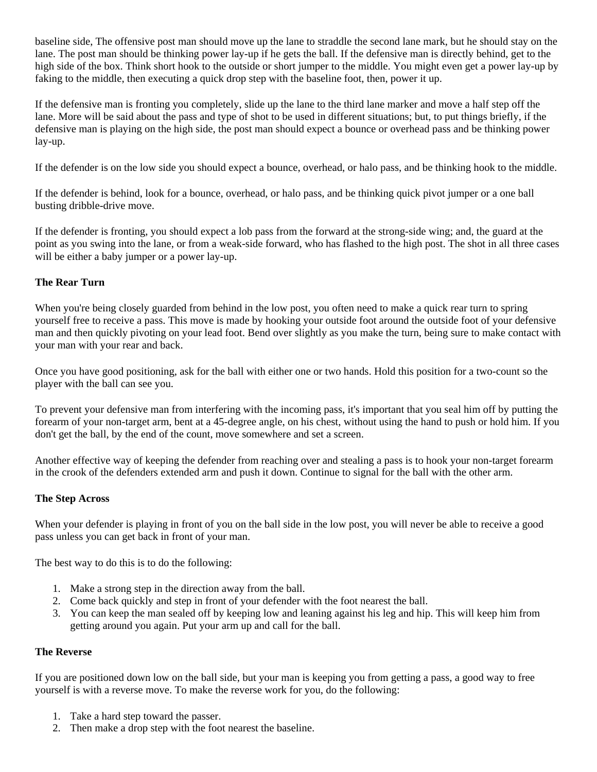baseline side, The offensive post man should move up the lane to straddle the second lane mark, but he should stay on the lane. The post man should be thinking power lay-up if he gets the ball. If the defensive man is directly behind, get to the high side of the box. Think short hook to the outside or short jumper to the middle. You might even get a power lay-up by faking to the middle, then executing a quick drop step with the baseline foot, then, power it up.

If the defensive man is fronting you completely, slide up the lane to the third lane marker and move a half step off the lane. More will be said about the pass and type of shot to be used in different situations; but, to put things briefly, if the defensive man is playing on the high side, the post man should expect a bounce or overhead pass and be thinking power lay-up.

If the defender is on the low side you should expect a bounce, overhead, or halo pass, and be thinking hook to the middle.

If the defender is behind, look for a bounce, overhead, or halo pass, and be thinking quick pivot jumper or a one ball busting dribble-drive move.

If the defender is fronting, you should expect a lob pass from the forward at the strong-side wing; and, the guard at the point as you swing into the lane, or from a weak-side forward, who has flashed to the high post. The shot in all three cases will be either a baby jumper or a power lay-up.

# **The Rear Turn**

When you're being closely guarded from behind in the low post, you often need to make a quick rear turn to spring yourself free to receive a pass. This move is made by hooking your outside foot around the outside foot of your defensive man and then quickly pivoting on your lead foot. Bend over slightly as you make the turn, being sure to make contact with your man with your rear and back.

Once you have good positioning, ask for the ball with either one or two hands. Hold this position for a two-count so the player with the ball can see you.

To prevent your defensive man from interfering with the incoming pass, it's important that you seal him off by putting the forearm of your non-target arm, bent at a 45-degree angle, on his chest, without using the hand to push or hold him. If you don't get the ball, by the end of the count, move somewhere and set a screen.

Another effective way of keeping the defender from reaching over and stealing a pass is to hook your non-target forearm in the crook of the defenders extended arm and push it down. Continue to signal for the ball with the other arm.

#### **The Step Across**

When your defender is playing in front of you on the ball side in the low post, you will never be able to receive a good pass unless you can get back in front of your man.

The best way to do this is to do the following:

- 1. Make a strong step in the direction away from the ball.
- 2. Come back quickly and step in front of your defender with the foot nearest the ball.
- 3. You can keep the man sealed off by keeping low and leaning against his leg and hip. This will keep him from getting around you again. Put your arm up and call for the ball.

#### **The Reverse**

If you are positioned down low on the ball side, but your man is keeping you from getting a pass, a good way to free yourself is with a reverse move. To make the reverse work for you, do the following:

- 1. Take a hard step toward the passer.
- 2. Then make a drop step with the foot nearest the baseline.